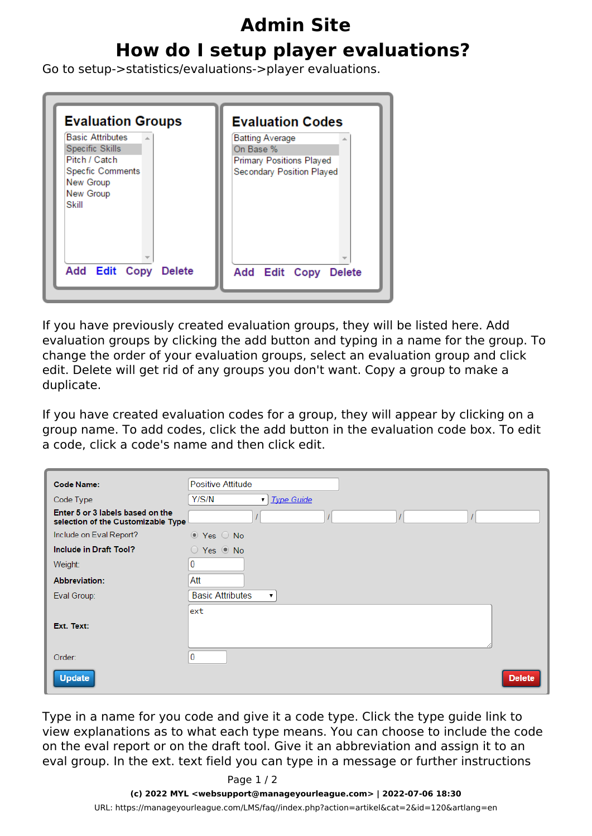## **Admin Site How do I setup player evaluations?**

Go to setup->statistics/evaluations->player evaluations.

| <b>Evaluation Groups</b><br><b>Basic Attributes</b><br>×.<br>Specific Skills<br>Pitch / Catch<br><b>Specfic Comments</b><br>New Group<br>New Group<br>Skill | <b>Evaluation Codes</b><br><b>Batting Average</b><br>On Base %<br><b>Primary Positions Played</b><br>Secondary Position Played |
|-------------------------------------------------------------------------------------------------------------------------------------------------------------|--------------------------------------------------------------------------------------------------------------------------------|
| Add Edit Copy Delete                                                                                                                                        | Add Edit Copy<br><b>Delete</b>                                                                                                 |

If you have previously created evaluation groups, they will be listed here. Add evaluation groups by clicking the add button and typing in a name for the group. To change the order of your evaluation groups, select an evaluation group and click edit. Delete will get rid of any groups you don't want. Copy a group to make a duplicate.

If you have created evaluation codes for a group, they will appear by clicking on a group name. To add codes, click the add button in the evaluation code box. To edit a code, click a code's name and then click edit.

| <b>Code Name:</b>                                                      | Positive Attitude                |
|------------------------------------------------------------------------|----------------------------------|
| Code Type                                                              | Y/S/N<br><b>Type Guide</b><br>▼  |
| Enter 5 or 3 labels based on the<br>selection of the Customizable Type |                                  |
| Include on Eval Report?                                                | ⊙ Yes ○ No                       |
| Include in Draft Tool?                                                 | $\bigcirc$ Yes $\circledcirc$ No |
| Weight:                                                                | $\overline{0}$                   |
| <b>Abbreviation:</b>                                                   | Att                              |
| Eval Group:                                                            | <b>Basic Attributes</b><br>▼     |
| Ext. Text:                                                             | ext                              |
| Order:                                                                 | $\mathbf{0}$                     |
| <b>Update</b>                                                          | <b>Delete</b>                    |

Type in a name for you code and give it a code type. Click the type guide link to view explanations as to what each type means. You can choose to include the code on the eval report or on the draft tool. Give it an abbreviation and assign it to an eval group. In the ext. text field you can type in a message or further instructions